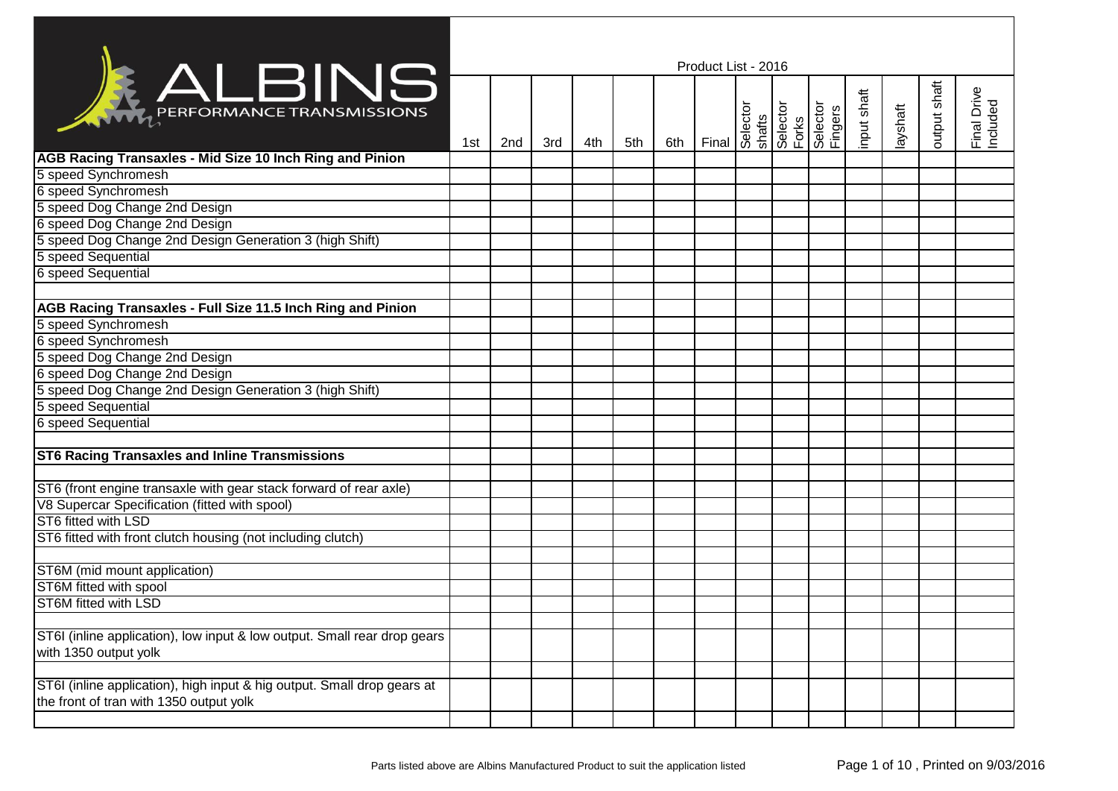|                                                                                                                    | Product List - 2016 |     |     |     |     |     |       |  |                                         |                     |             |          |              |                         |  |
|--------------------------------------------------------------------------------------------------------------------|---------------------|-----|-----|-----|-----|-----|-------|--|-----------------------------------------|---------------------|-------------|----------|--------------|-------------------------|--|
| <b>KALBINS</b>                                                                                                     | 1st                 | 2nd | 3rd | 4th | 5th | 6th | Final |  | Selector<br>shafts<br>Selector<br>Forks | Selector<br>Fingers | input shaft | layshaft | putput shaft | Final Drive<br>Included |  |
| AGB Racing Transaxles - Mid Size 10 Inch Ring and Pinion                                                           |                     |     |     |     |     |     |       |  |                                         |                     |             |          |              |                         |  |
| 5 speed Synchromesh                                                                                                |                     |     |     |     |     |     |       |  |                                         |                     |             |          |              |                         |  |
| 6 speed Synchromesh                                                                                                |                     |     |     |     |     |     |       |  |                                         |                     |             |          |              |                         |  |
| 5 speed Dog Change 2nd Design                                                                                      |                     |     |     |     |     |     |       |  |                                         |                     |             |          |              |                         |  |
| 6 speed Dog Change 2nd Design                                                                                      |                     |     |     |     |     |     |       |  |                                         |                     |             |          |              |                         |  |
| 5 speed Dog Change 2nd Design Generation 3 (high Shift)                                                            |                     |     |     |     |     |     |       |  |                                         |                     |             |          |              |                         |  |
| 5 speed Sequential                                                                                                 |                     |     |     |     |     |     |       |  |                                         |                     |             |          |              |                         |  |
| 6 speed Sequential                                                                                                 |                     |     |     |     |     |     |       |  |                                         |                     |             |          |              |                         |  |
|                                                                                                                    |                     |     |     |     |     |     |       |  |                                         |                     |             |          |              |                         |  |
| AGB Racing Transaxles - Full Size 11.5 Inch Ring and Pinion                                                        |                     |     |     |     |     |     |       |  |                                         |                     |             |          |              |                         |  |
| 5 speed Synchromesh                                                                                                |                     |     |     |     |     |     |       |  |                                         |                     |             |          |              |                         |  |
| 6 speed Synchromesh                                                                                                |                     |     |     |     |     |     |       |  |                                         |                     |             |          |              |                         |  |
| 5 speed Dog Change 2nd Design                                                                                      |                     |     |     |     |     |     |       |  |                                         |                     |             |          |              |                         |  |
| 6 speed Dog Change 2nd Design                                                                                      |                     |     |     |     |     |     |       |  |                                         |                     |             |          |              |                         |  |
| 5 speed Dog Change 2nd Design Generation 3 (high Shift)                                                            |                     |     |     |     |     |     |       |  |                                         |                     |             |          |              |                         |  |
| 5 speed Sequential                                                                                                 |                     |     |     |     |     |     |       |  |                                         |                     |             |          |              |                         |  |
| 6 speed Sequential                                                                                                 |                     |     |     |     |     |     |       |  |                                         |                     |             |          |              |                         |  |
|                                                                                                                    |                     |     |     |     |     |     |       |  |                                         |                     |             |          |              |                         |  |
| <b>ST6 Racing Transaxles and Inline Transmissions</b>                                                              |                     |     |     |     |     |     |       |  |                                         |                     |             |          |              |                         |  |
|                                                                                                                    |                     |     |     |     |     |     |       |  |                                         |                     |             |          |              |                         |  |
| ST6 (front engine transaxle with gear stack forward of rear axle)                                                  |                     |     |     |     |     |     |       |  |                                         |                     |             |          |              |                         |  |
| V8 Supercar Specification (fitted with spool)                                                                      |                     |     |     |     |     |     |       |  |                                         |                     |             |          |              |                         |  |
| ST6 fitted with LSD                                                                                                |                     |     |     |     |     |     |       |  |                                         |                     |             |          |              |                         |  |
| ST6 fitted with front clutch housing (not including clutch)                                                        |                     |     |     |     |     |     |       |  |                                         |                     |             |          |              |                         |  |
|                                                                                                                    |                     |     |     |     |     |     |       |  |                                         |                     |             |          |              |                         |  |
| ST6M (mid mount application)                                                                                       |                     |     |     |     |     |     |       |  |                                         |                     |             |          |              |                         |  |
| <b>ST6M</b> fitted with spool                                                                                      |                     |     |     |     |     |     |       |  |                                         |                     |             |          |              |                         |  |
| ST6M fitted with LSD                                                                                               |                     |     |     |     |     |     |       |  |                                         |                     |             |          |              |                         |  |
|                                                                                                                    |                     |     |     |     |     |     |       |  |                                         |                     |             |          |              |                         |  |
| ST6I (inline application), low input & low output. Small rear drop gears<br>with 1350 output yolk                  |                     |     |     |     |     |     |       |  |                                         |                     |             |          |              |                         |  |
|                                                                                                                    |                     |     |     |     |     |     |       |  |                                         |                     |             |          |              |                         |  |
| ST6I (inline application), high input & hig output. Small drop gears at<br>the front of tran with 1350 output yolk |                     |     |     |     |     |     |       |  |                                         |                     |             |          |              |                         |  |
|                                                                                                                    |                     |     |     |     |     |     |       |  |                                         |                     |             |          |              |                         |  |
|                                                                                                                    |                     |     |     |     |     |     |       |  |                                         |                     |             |          |              |                         |  |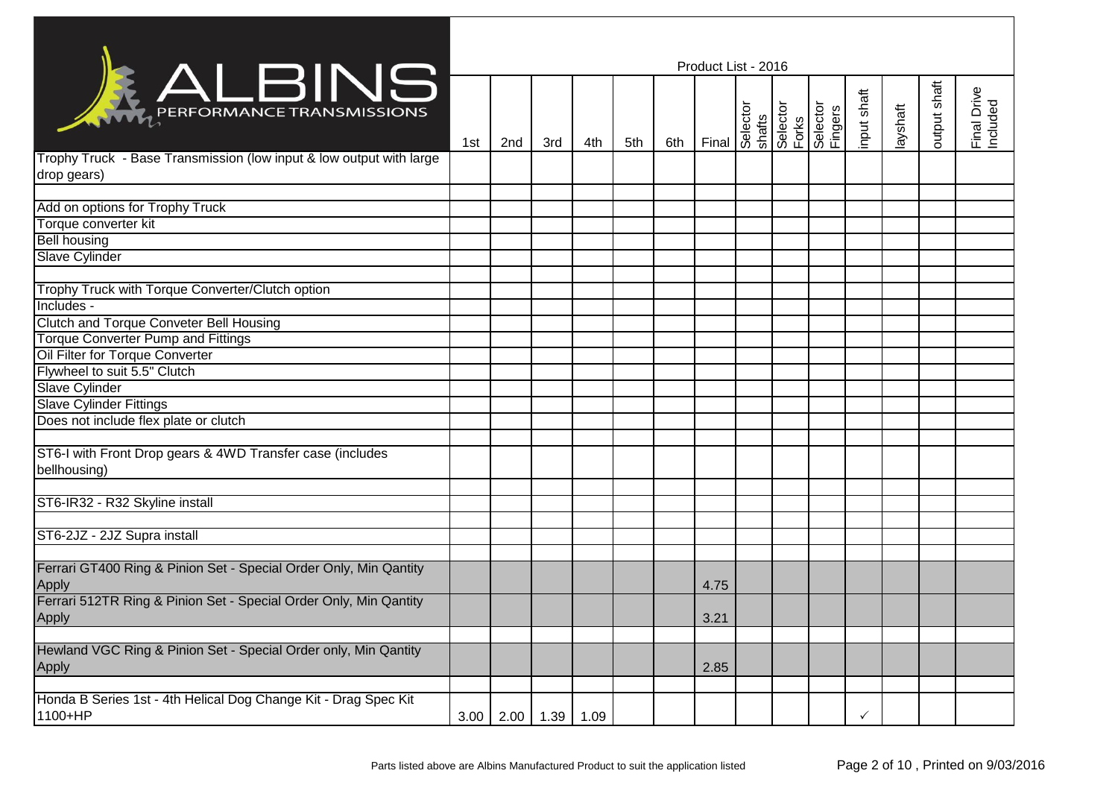| Product List - 2016<br><b>KALBINS</b> |     |     |     |                             |     |       |                      |  |  |                                      |                     |              |                         |  |
|---------------------------------------|-----|-----|-----|-----------------------------|-----|-------|----------------------|--|--|--------------------------------------|---------------------|--------------|-------------------------|--|
| 1st                                   | 2nd | 3rd | 4th | 5th                         | 6th | Final |                      |  |  | input shaft                          | layshaft            | output shaft | Final Drive<br>Included |  |
|                                       |     |     |     |                             |     |       |                      |  |  |                                      |                     |              |                         |  |
|                                       |     |     |     |                             |     |       |                      |  |  |                                      |                     |              |                         |  |
|                                       |     |     |     |                             |     |       |                      |  |  |                                      |                     |              |                         |  |
|                                       |     |     |     |                             |     |       |                      |  |  |                                      |                     |              |                         |  |
|                                       |     |     |     |                             |     |       |                      |  |  |                                      |                     |              |                         |  |
|                                       |     |     |     |                             |     |       |                      |  |  |                                      |                     |              |                         |  |
|                                       |     |     |     |                             |     |       |                      |  |  |                                      |                     |              |                         |  |
|                                       |     |     |     |                             |     |       |                      |  |  |                                      |                     |              |                         |  |
|                                       |     |     |     |                             |     |       |                      |  |  |                                      |                     |              |                         |  |
|                                       |     |     |     |                             |     |       |                      |  |  |                                      |                     |              |                         |  |
|                                       |     |     |     |                             |     |       |                      |  |  |                                      |                     |              |                         |  |
|                                       |     |     |     |                             |     |       |                      |  |  |                                      |                     |              |                         |  |
|                                       |     |     |     |                             |     |       |                      |  |  |                                      |                     |              |                         |  |
|                                       |     |     |     |                             |     |       |                      |  |  |                                      |                     |              |                         |  |
|                                       |     |     |     |                             |     |       |                      |  |  |                                      |                     |              |                         |  |
|                                       |     |     |     |                             |     |       |                      |  |  |                                      |                     |              |                         |  |
|                                       |     |     |     |                             |     |       |                      |  |  |                                      |                     |              |                         |  |
|                                       |     |     |     |                             |     |       |                      |  |  |                                      |                     |              |                         |  |
|                                       |     |     |     |                             |     |       |                      |  |  |                                      |                     |              |                         |  |
|                                       |     |     |     |                             |     |       |                      |  |  |                                      |                     |              |                         |  |
|                                       |     |     |     |                             |     |       |                      |  |  |                                      |                     |              |                         |  |
|                                       |     |     |     |                             |     |       |                      |  |  |                                      |                     |              |                         |  |
|                                       |     |     |     |                             |     |       |                      |  |  |                                      |                     |              |                         |  |
|                                       |     |     |     |                             |     |       |                      |  |  |                                      |                     |              |                         |  |
|                                       |     |     |     |                             |     |       |                      |  |  |                                      |                     |              |                         |  |
|                                       |     |     |     |                             |     |       |                      |  |  |                                      |                     |              |                         |  |
|                                       |     |     |     |                             |     |       |                      |  |  |                                      |                     |              |                         |  |
|                                       |     |     |     |                             |     |       |                      |  |  |                                      |                     |              |                         |  |
|                                       |     |     |     |                             |     |       |                      |  |  | $\checkmark$                         |                     |              |                         |  |
|                                       |     |     |     | $3.00$   2.00   1.39   1.09 |     |       | 4.75<br>3.21<br>2.85 |  |  | Selector<br>shafts<br>Forks<br>Forks | Selector<br>Fingers |              |                         |  |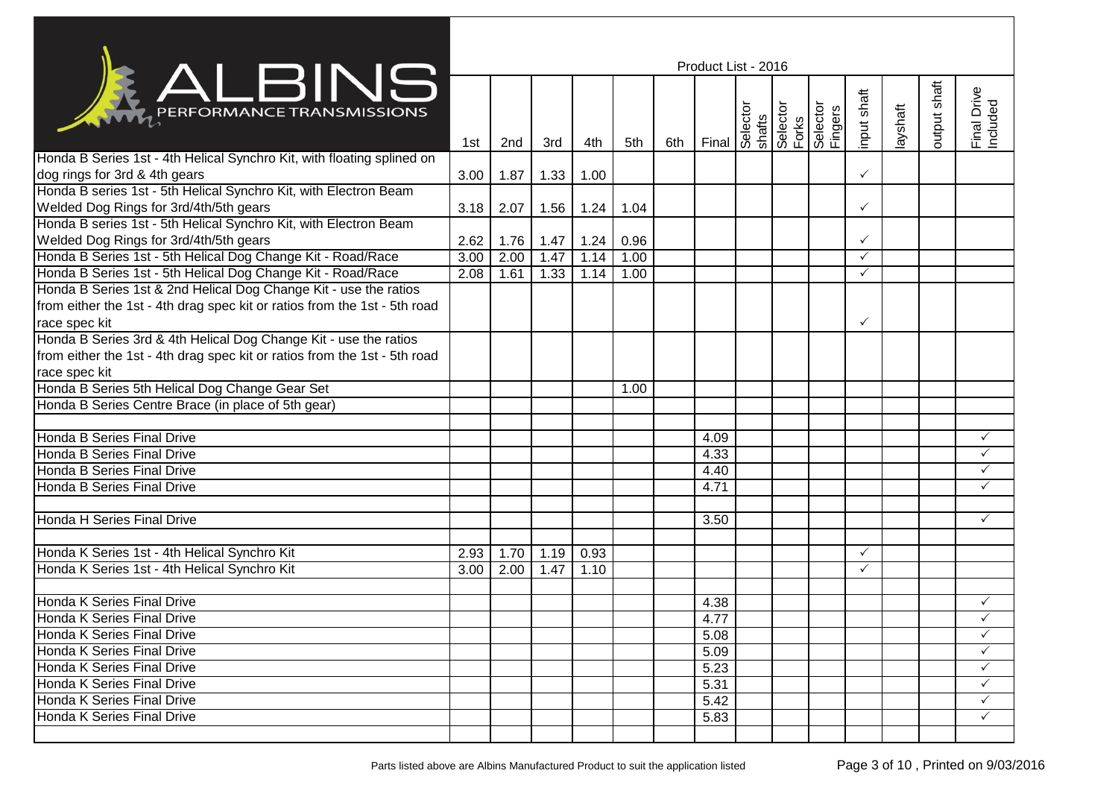|                                                                           | Product List - 2016 |      |      |      |      |     |       |  |  |                                                                    |              |         |              |                         |
|---------------------------------------------------------------------------|---------------------|------|------|------|------|-----|-------|--|--|--------------------------------------------------------------------|--------------|---------|--------------|-------------------------|
|                                                                           |                     |      |      |      |      |     |       |  |  |                                                                    |              |         |              |                         |
| <b>EXALBING</b>                                                           | 1st                 | 2nd  | 3rd  | 4th  | 5th  | 6th | Final |  |  | Selector<br>Shafts<br>Selector<br>Selector<br>Delector<br>Delector | input shaft  | ayshaft | output shaft | Final Drive<br>Included |
| Honda B Series 1st - 4th Helical Synchro Kit, with floating splined on    |                     |      |      |      |      |     |       |  |  |                                                                    |              |         |              |                         |
| dog rings for 3rd & 4th gears                                             | 3.00                | 1.87 | 1.33 | 1.00 |      |     |       |  |  |                                                                    | $\checkmark$ |         |              |                         |
| Honda B series 1st - 5th Helical Synchro Kit, with Electron Beam          |                     |      |      |      |      |     |       |  |  |                                                                    |              |         |              |                         |
| Welded Dog Rings for 3rd/4th/5th gears                                    | 3.18                | 2.07 | 1.56 | 1.24 | 1.04 |     |       |  |  |                                                                    | $\checkmark$ |         |              |                         |
| Honda B series 1st - 5th Helical Synchro Kit, with Electron Beam          |                     |      |      |      |      |     |       |  |  |                                                                    |              |         |              |                         |
| Welded Dog Rings for 3rd/4th/5th gears                                    | 2.62                | 1.76 | 1.47 | 1.24 | 0.96 |     |       |  |  |                                                                    | $\checkmark$ |         |              |                         |
| Honda B Series 1st - 5th Helical Dog Change Kit - Road/Race               | 3.00                | 2.00 | 1.47 | 1.14 | 1.00 |     |       |  |  |                                                                    | $\checkmark$ |         |              |                         |
| Honda B Series 1st - 5th Helical Dog Change Kit - Road/Race               | 2.08                | 1.61 | 1.33 | 1.14 | 1.00 |     |       |  |  |                                                                    | $\checkmark$ |         |              |                         |
| Honda B Series 1st & 2nd Helical Dog Change Kit - use the ratios          |                     |      |      |      |      |     |       |  |  |                                                                    |              |         |              |                         |
| from either the 1st - 4th drag spec kit or ratios from the 1st - 5th road |                     |      |      |      |      |     |       |  |  |                                                                    |              |         |              |                         |
| race spec kit                                                             |                     |      |      |      |      |     |       |  |  |                                                                    | $\checkmark$ |         |              |                         |
| Honda B Series 3rd & 4th Helical Dog Change Kit - use the ratios          |                     |      |      |      |      |     |       |  |  |                                                                    |              |         |              |                         |
| from either the 1st - 4th drag spec kit or ratios from the 1st - 5th road |                     |      |      |      |      |     |       |  |  |                                                                    |              |         |              |                         |
| race spec kit                                                             |                     |      |      |      |      |     |       |  |  |                                                                    |              |         |              |                         |
| Honda B Series 5th Helical Dog Change Gear Set                            |                     |      |      |      | 1.00 |     |       |  |  |                                                                    |              |         |              |                         |
| Honda B Series Centre Brace (in place of 5th gear)                        |                     |      |      |      |      |     |       |  |  |                                                                    |              |         |              |                         |
|                                                                           |                     |      |      |      |      |     |       |  |  |                                                                    |              |         |              |                         |
| Honda B Series Final Drive                                                |                     |      |      |      |      |     | 4.09  |  |  |                                                                    |              |         |              | ✓                       |
| Honda B Series Final Drive                                                |                     |      |      |      |      |     | 4.33  |  |  |                                                                    |              |         |              | $\checkmark$            |
| Honda B Series Final Drive                                                |                     |      |      |      |      |     | 4.40  |  |  |                                                                    |              |         |              | ✓                       |
| Honda B Series Final Drive                                                |                     |      |      |      |      |     | 4.71  |  |  |                                                                    |              |         |              | $\checkmark$            |
|                                                                           |                     |      |      |      |      |     |       |  |  |                                                                    |              |         |              |                         |
| <b>Honda H Series Final Drive</b>                                         |                     |      |      |      |      |     | 3.50  |  |  |                                                                    |              |         |              | $\checkmark$            |
|                                                                           |                     |      |      |      |      |     |       |  |  |                                                                    |              |         |              |                         |
| Honda K Series 1st - 4th Helical Synchro Kit                              | 2.93                | 1.70 | 1.19 | 0.93 |      |     |       |  |  |                                                                    | $\checkmark$ |         |              |                         |
| Honda K Series 1st - 4th Helical Synchro Kit                              | 3.00                | 2.00 | 1.47 | 1.10 |      |     |       |  |  |                                                                    | $\checkmark$ |         |              |                         |
|                                                                           |                     |      |      |      |      |     |       |  |  |                                                                    |              |         |              |                         |
| Honda K Series Final Drive                                                |                     |      |      |      |      |     | 4.38  |  |  |                                                                    |              |         |              | ✓                       |
| Honda K Series Final Drive                                                |                     |      |      |      |      |     | 4.77  |  |  |                                                                    |              |         |              | ✓                       |
| Honda K Series Final Drive                                                |                     |      |      |      |      |     | 5.08  |  |  |                                                                    |              |         |              | $\checkmark$            |
| <b>I</b> Honda K Series Final Drive                                       |                     |      |      |      |      |     | 5.09  |  |  |                                                                    |              |         |              | $\checkmark$            |
| <b>Honda K Series Final Drive</b>                                         |                     |      |      |      |      |     | 5.23  |  |  |                                                                    |              |         |              | ✓                       |
| Honda K Series Final Drive                                                |                     |      |      |      |      |     | 5.31  |  |  |                                                                    |              |         |              | ✓                       |
| Honda K Series Final Drive                                                |                     |      |      |      |      |     | 5.42  |  |  |                                                                    |              |         |              | $\checkmark$            |
| Honda K Series Final Drive                                                |                     |      |      |      |      |     | 5.83  |  |  |                                                                    |              |         |              | $\checkmark$            |
|                                                                           |                     |      |      |      |      |     |       |  |  |                                                                    |              |         |              |                         |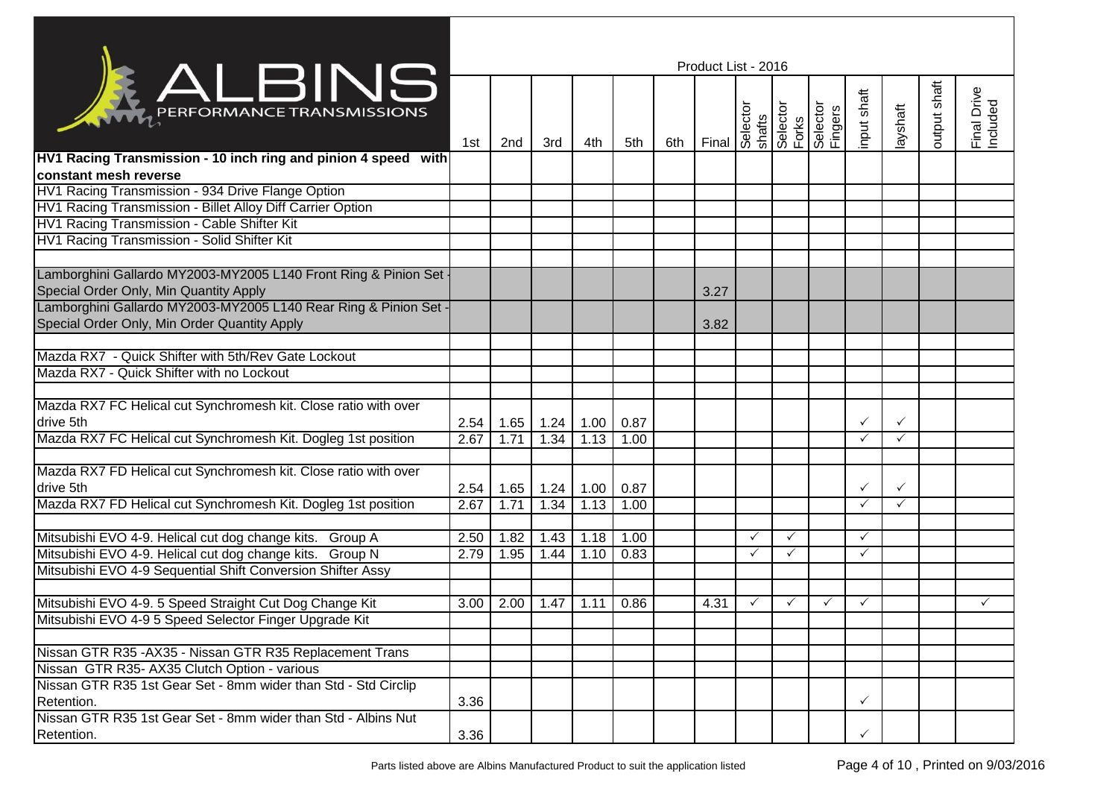|                                                                                                                  | Product List - 2016 |                             |             |      |      |     |       |              |              |                                                                                 |              |              |              |                         |
|------------------------------------------------------------------------------------------------------------------|---------------------|-----------------------------|-------------|------|------|-----|-------|--------------|--------------|---------------------------------------------------------------------------------|--------------|--------------|--------------|-------------------------|
| <b>KALBINS</b>                                                                                                   | 1st                 | 2nd                         | 3rd         | 4th  | 5th  | 6th | Final |              |              | Selector<br>Shafts<br>Selector<br>Selector<br>Disperser<br>Disperser<br>Eingers | input shaft  | layshaft     | output shaft | Final Drive<br>Included |
| HV1 Racing Transmission - 10 inch ring and pinion 4 speed with<br>constant mesh reverse                          |                     |                             |             |      |      |     |       |              |              |                                                                                 |              |              |              |                         |
| HV1 Racing Transmission - 934 Drive Flange Option                                                                |                     |                             |             |      |      |     |       |              |              |                                                                                 |              |              |              |                         |
| HV1 Racing Transmission - Billet Alloy Diff Carrier Option                                                       |                     |                             |             |      |      |     |       |              |              |                                                                                 |              |              |              |                         |
| HV1 Racing Transmission - Cable Shifter Kit                                                                      |                     |                             |             |      |      |     |       |              |              |                                                                                 |              |              |              |                         |
| HV1 Racing Transmission - Solid Shifter Kit                                                                      |                     |                             |             |      |      |     |       |              |              |                                                                                 |              |              |              |                         |
| Lamborghini Gallardo MY2003-MY2005 L140 Front Ring & Pinion Set<br>Special Order Only, Min Quantity Apply        |                     |                             |             |      |      |     | 3.27  |              |              |                                                                                 |              |              |              |                         |
| Lamborghini Gallardo MY2003-MY2005 L140 Rear Ring & Pinion Set -<br>Special Order Only, Min Order Quantity Apply |                     |                             |             |      |      |     | 3.82  |              |              |                                                                                 |              |              |              |                         |
|                                                                                                                  |                     |                             |             |      |      |     |       |              |              |                                                                                 |              |              |              |                         |
| Mazda RX7 - Quick Shifter with 5th/Rev Gate Lockout                                                              |                     |                             |             |      |      |     |       |              |              |                                                                                 |              |              |              |                         |
| Mazda RX7 - Quick Shifter with no Lockout                                                                        |                     |                             |             |      |      |     |       |              |              |                                                                                 |              |              |              |                         |
| Mazda RX7 FC Helical cut Synchromesh kit. Close ratio with over                                                  |                     |                             |             |      |      |     |       |              |              |                                                                                 |              |              |              |                         |
| drive 5th                                                                                                        |                     | $2.54$   1.65   1.24   1.00 |             |      | 0.87 |     |       |              |              |                                                                                 | $\checkmark$ | $\checkmark$ |              |                         |
| Mazda RX7 FC Helical cut Synchromesh Kit. Dogleg 1st position                                                    | 2.67                | 1.71                        | 1.34        | 1.13 | 1.00 |     |       |              |              |                                                                                 | $\checkmark$ | $\checkmark$ |              |                         |
| Mazda RX7 FD Helical cut Synchromesh kit. Close ratio with over<br>drive 5th                                     | 2.54                |                             | $1.65$ 1.24 | 1.00 | 0.87 |     |       |              |              |                                                                                 | $\checkmark$ | $\checkmark$ |              |                         |
| Mazda RX7 FD Helical cut Synchromesh Kit. Dogleg 1st position                                                    | 2.67                | 1.71                        | 1.34        | 1.13 | 1.00 |     |       |              |              |                                                                                 | $\checkmark$ | $\checkmark$ |              |                         |
| Mitsubishi EVO 4-9. Helical cut dog change kits. Group A                                                         | 2.50                | 1.82                        | 1.43        | 1.18 | 1.00 |     |       | $\checkmark$ | ✓            |                                                                                 | $\checkmark$ |              |              |                         |
| Mitsubishi EVO 4-9. Helical cut dog change kits. Group N                                                         | 2.79                | 1.95                        | 1.44        | 1.10 | 0.83 |     |       | ✓            | ✓            |                                                                                 | $\checkmark$ |              |              |                         |
| Mitsubishi EVO 4-9 Sequential Shift Conversion Shifter Assy                                                      |                     |                             |             |      |      |     |       |              |              |                                                                                 |              |              |              |                         |
| Mitsubishi EVO 4-9. 5 Speed Straight Cut Dog Change Kit                                                          | 3.00                | 2.00                        | 1.47        | 1.11 | 0.86 |     | 4.31  | $\checkmark$ | $\checkmark$ | $\checkmark$                                                                    | $\checkmark$ |              |              | $\checkmark$            |
| Mitsubishi EVO 4-9 5 Speed Selector Finger Upgrade Kit                                                           |                     |                             |             |      |      |     |       |              |              |                                                                                 |              |              |              |                         |
| Nissan GTR R35 - AX35 - Nissan GTR R35 Replacement Trans                                                         |                     |                             |             |      |      |     |       |              |              |                                                                                 |              |              |              |                         |
| Nissan GTR R35- AX35 Clutch Option - various                                                                     |                     |                             |             |      |      |     |       |              |              |                                                                                 |              |              |              |                         |
| Nissan GTR R35 1st Gear Set - 8mm wider than Std - Std Circlip<br>Retention.                                     | 3.36                |                             |             |      |      |     |       |              |              |                                                                                 |              |              |              |                         |
| Nissan GTR R35 1st Gear Set - 8mm wider than Std - Albins Nut                                                    |                     |                             |             |      |      |     |       |              |              |                                                                                 |              |              |              |                         |
| Retention.                                                                                                       | 3.36                |                             |             |      |      |     |       |              |              |                                                                                 | ✓            |              |              |                         |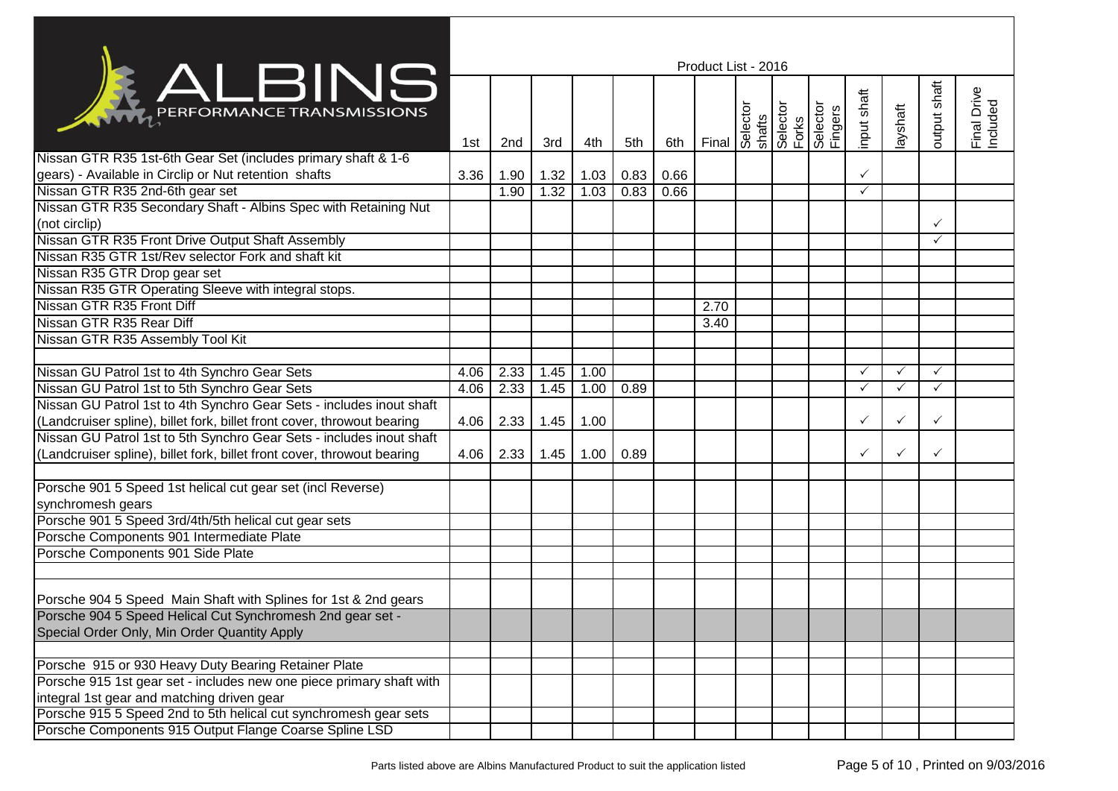|                                                                         | Product List - 2016 |      |      |      |      |      |      |  |  |  |              |              |              |                         |
|-------------------------------------------------------------------------|---------------------|------|------|------|------|------|------|--|--|--|--------------|--------------|--------------|-------------------------|
| ALBINS                                                                  | 1st                 | 2nd  | 3rd  | 4th  | 5th  | 6th  |      |  |  |  | nput shaft   | layshaft     | putput shaft | Final Drive<br>Included |
| Nissan GTR R35 1st-6th Gear Set (includes primary shaft & 1-6           |                     |      |      |      |      |      |      |  |  |  |              |              |              |                         |
| gears) - Available in Circlip or Nut retention shafts                   | 3.36                | 1.90 | 1.32 | 1.03 | 0.83 | 0.66 |      |  |  |  | ✓            |              |              |                         |
| Nissan GTR R35 2nd-6th gear set                                         |                     | 1.90 | 1.32 | 1.03 | 0.83 | 0.66 |      |  |  |  | $\checkmark$ |              |              |                         |
| Nissan GTR R35 Secondary Shaft - Albins Spec with Retaining Nut         |                     |      |      |      |      |      |      |  |  |  |              |              |              |                         |
| (not circlip)                                                           |                     |      |      |      |      |      |      |  |  |  |              |              |              |                         |
| Nissan GTR R35 Front Drive Output Shaft Assembly                        |                     |      |      |      |      |      |      |  |  |  |              |              |              |                         |
| Nissan R35 GTR 1st/Rev selector Fork and shaft kit                      |                     |      |      |      |      |      |      |  |  |  |              |              |              |                         |
| Nissan R35 GTR Drop gear set                                            |                     |      |      |      |      |      |      |  |  |  |              |              |              |                         |
| Nissan R35 GTR Operating Sleeve with integral stops.                    |                     |      |      |      |      |      |      |  |  |  |              |              |              |                         |
| Nissan GTR R35 Front Diff                                               |                     |      |      |      |      |      | 2.70 |  |  |  |              |              |              |                         |
| Nissan GTR R35 Rear Diff                                                |                     |      |      |      |      |      | 3.40 |  |  |  |              |              |              |                         |
| Nissan GTR R35 Assembly Tool Kit                                        |                     |      |      |      |      |      |      |  |  |  |              |              |              |                         |
|                                                                         |                     |      |      |      |      |      |      |  |  |  |              |              |              |                         |
| Nissan GU Patrol 1st to 4th Synchro Gear Sets                           | 4.06                | 2.33 | 1.45 | 1.00 |      |      |      |  |  |  | ✓            | $\checkmark$ | ✓            |                         |
| Nissan GU Patrol 1st to 5th Synchro Gear Sets                           | 4.06                | 2.33 | 1.45 | 1.00 | 0.89 |      |      |  |  |  | $\checkmark$ | ✓            |              |                         |
| Nissan GU Patrol 1st to 4th Synchro Gear Sets - includes inout shaft    |                     |      |      |      |      |      |      |  |  |  |              |              |              |                         |
| (Landcruiser spline), billet fork, billet front cover, throwout bearing | 4.06                | 2.33 | 1.45 | 1.00 |      |      |      |  |  |  | ✓            | ✓            |              |                         |
| Nissan GU Patrol 1st to 5th Synchro Gear Sets - includes inout shaft    |                     |      |      |      |      |      |      |  |  |  |              |              |              |                         |
| (Landcruiser spline), billet fork, billet front cover, throwout bearing | 4.06                | 2.33 | 1.45 | 1.00 | 0.89 |      |      |  |  |  |              | ✓            |              |                         |
|                                                                         |                     |      |      |      |      |      |      |  |  |  |              |              |              |                         |
| Porsche 901 5 Speed 1st helical cut gear set (incl Reverse)             |                     |      |      |      |      |      |      |  |  |  |              |              |              |                         |
| synchromesh gears                                                       |                     |      |      |      |      |      |      |  |  |  |              |              |              |                         |
| Porsche 901 5 Speed 3rd/4th/5th helical cut gear sets                   |                     |      |      |      |      |      |      |  |  |  |              |              |              |                         |
| Porsche Components 901 Intermediate Plate                               |                     |      |      |      |      |      |      |  |  |  |              |              |              |                         |
| Porsche Components 901 Side Plate                                       |                     |      |      |      |      |      |      |  |  |  |              |              |              |                         |
|                                                                         |                     |      |      |      |      |      |      |  |  |  |              |              |              |                         |
|                                                                         |                     |      |      |      |      |      |      |  |  |  |              |              |              |                         |
| Porsche 904 5 Speed Main Shaft with Splines for 1st & 2nd gears         |                     |      |      |      |      |      |      |  |  |  |              |              |              |                         |
| Porsche 904 5 Speed Helical Cut Synchromesh 2nd gear set -              |                     |      |      |      |      |      |      |  |  |  |              |              |              |                         |
| Special Order Only, Min Order Quantity Apply                            |                     |      |      |      |      |      |      |  |  |  |              |              |              |                         |
|                                                                         |                     |      |      |      |      |      |      |  |  |  |              |              |              |                         |
| Porsche 915 or 930 Heavy Duty Bearing Retainer Plate                    |                     |      |      |      |      |      |      |  |  |  |              |              |              |                         |
| Porsche 915 1st gear set - includes new one piece primary shaft with    |                     |      |      |      |      |      |      |  |  |  |              |              |              |                         |
| integral 1st gear and matching driven gear                              |                     |      |      |      |      |      |      |  |  |  |              |              |              |                         |
| Porsche 915 5 Speed 2nd to 5th helical cut synchromesh gear sets        |                     |      |      |      |      |      |      |  |  |  |              |              |              |                         |
| Porsche Components 915 Output Flange Coarse Spline LSD                  |                     |      |      |      |      |      |      |  |  |  |              |              |              |                         |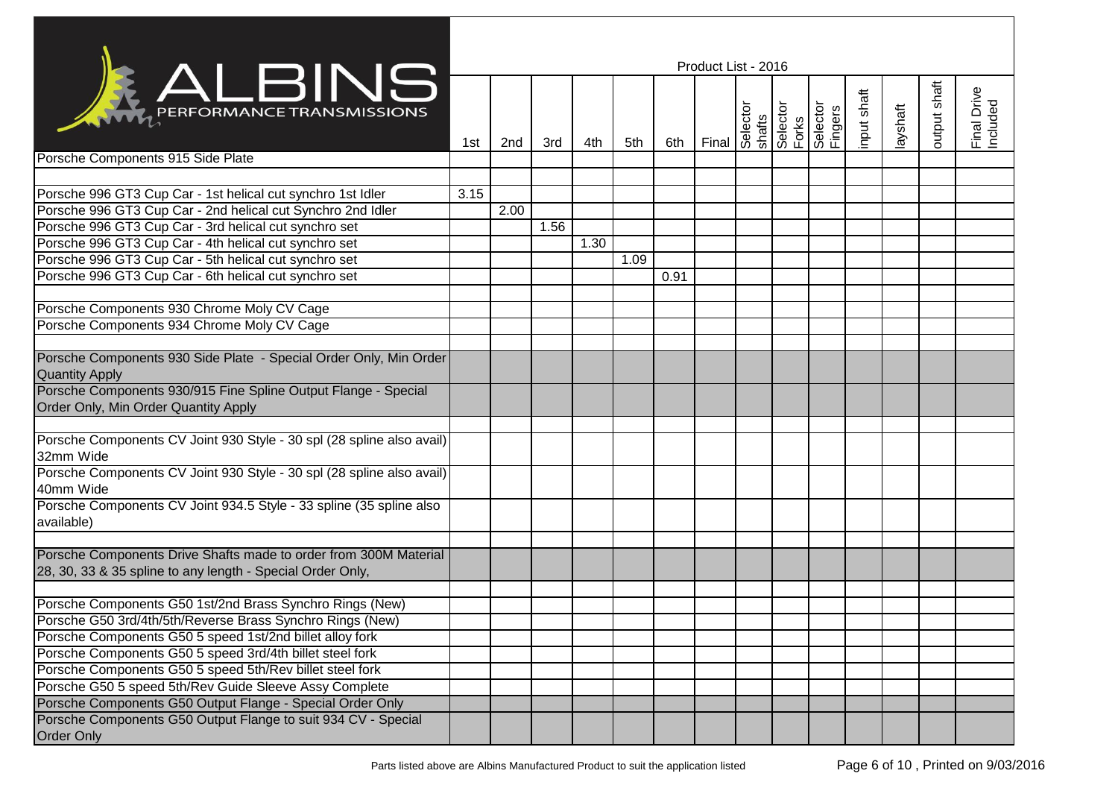|                                                                                    | Product List - 2016 |      |      |      |      |      |       |  |                                      |                     |             |          |              |                         |
|------------------------------------------------------------------------------------|---------------------|------|------|------|------|------|-------|--|--------------------------------------|---------------------|-------------|----------|--------------|-------------------------|
| <b>KALBINS</b>                                                                     | 1st                 | 2nd  | 3rd  | 4th  | 5th  | 6th  | Final |  | Selector<br>shafts<br>Forks<br>Forks | Selector<br>Fingers | input shaft | layshaft | putput shaft | Final Drive<br>Included |
| Porsche Components 915 Side Plate                                                  |                     |      |      |      |      |      |       |  |                                      |                     |             |          |              |                         |
| Porsche 996 GT3 Cup Car - 1st helical cut synchro 1st Idler                        | 3.15                |      |      |      |      |      |       |  |                                      |                     |             |          |              |                         |
| Porsche 996 GT3 Cup Car - 2nd helical cut Synchro 2nd Idler                        |                     | 2.00 |      |      |      |      |       |  |                                      |                     |             |          |              |                         |
| Porsche 996 GT3 Cup Car - 3rd helical cut synchro set                              |                     |      | 1.56 |      |      |      |       |  |                                      |                     |             |          |              |                         |
| Porsche 996 GT3 Cup Car - 4th helical cut synchro set                              |                     |      |      | 1.30 |      |      |       |  |                                      |                     |             |          |              |                         |
| Porsche 996 GT3 Cup Car - 5th helical cut synchro set                              |                     |      |      |      | 1.09 |      |       |  |                                      |                     |             |          |              |                         |
| Porsche 996 GT3 Cup Car - 6th helical cut synchro set                              |                     |      |      |      |      | 0.91 |       |  |                                      |                     |             |          |              |                         |
|                                                                                    |                     |      |      |      |      |      |       |  |                                      |                     |             |          |              |                         |
| Porsche Components 930 Chrome Moly CV Cage                                         |                     |      |      |      |      |      |       |  |                                      |                     |             |          |              |                         |
| Porsche Components 934 Chrome Moly CV Cage                                         |                     |      |      |      |      |      |       |  |                                      |                     |             |          |              |                         |
|                                                                                    |                     |      |      |      |      |      |       |  |                                      |                     |             |          |              |                         |
| Porsche Components 930 Side Plate - Special Order Only, Min Order                  |                     |      |      |      |      |      |       |  |                                      |                     |             |          |              |                         |
| <b>Quantity Apply</b>                                                              |                     |      |      |      |      |      |       |  |                                      |                     |             |          |              |                         |
| Porsche Components 930/915 Fine Spline Output Flange - Special                     |                     |      |      |      |      |      |       |  |                                      |                     |             |          |              |                         |
| Order Only, Min Order Quantity Apply                                               |                     |      |      |      |      |      |       |  |                                      |                     |             |          |              |                         |
|                                                                                    |                     |      |      |      |      |      |       |  |                                      |                     |             |          |              |                         |
| Porsche Components CV Joint 930 Style - 30 spl (28 spline also avail)<br>32mm Wide |                     |      |      |      |      |      |       |  |                                      |                     |             |          |              |                         |
| Porsche Components CV Joint 930 Style - 30 spl (28 spline also avail)<br>40mm Wide |                     |      |      |      |      |      |       |  |                                      |                     |             |          |              |                         |
| Porsche Components CV Joint 934.5 Style - 33 spline (35 spline also                |                     |      |      |      |      |      |       |  |                                      |                     |             |          |              |                         |
| available)                                                                         |                     |      |      |      |      |      |       |  |                                      |                     |             |          |              |                         |
|                                                                                    |                     |      |      |      |      |      |       |  |                                      |                     |             |          |              |                         |
| Porsche Components Drive Shafts made to order from 300M Material                   |                     |      |      |      |      |      |       |  |                                      |                     |             |          |              |                         |
| 28, 30, 33 & 35 spline to any length - Special Order Only,                         |                     |      |      |      |      |      |       |  |                                      |                     |             |          |              |                         |
|                                                                                    |                     |      |      |      |      |      |       |  |                                      |                     |             |          |              |                         |
| Porsche Components G50 1st/2nd Brass Synchro Rings (New)                           |                     |      |      |      |      |      |       |  |                                      |                     |             |          |              |                         |
| Porsche G50 3rd/4th/5th/Reverse Brass Synchro Rings (New)                          |                     |      |      |      |      |      |       |  |                                      |                     |             |          |              |                         |
| Porsche Components G50 5 speed 1st/2nd billet alloy fork                           |                     |      |      |      |      |      |       |  |                                      |                     |             |          |              |                         |
| Porsche Components G50 5 speed 3rd/4th billet steel fork                           |                     |      |      |      |      |      |       |  |                                      |                     |             |          |              |                         |
| Porsche Components G50 5 speed 5th/Rev billet steel fork                           |                     |      |      |      |      |      |       |  |                                      |                     |             |          |              |                         |
| Porsche G50 5 speed 5th/Rev Guide Sleeve Assy Complete                             |                     |      |      |      |      |      |       |  |                                      |                     |             |          |              |                         |
| Porsche Components G50 Output Flange - Special Order Only                          |                     |      |      |      |      |      |       |  |                                      |                     |             |          |              |                         |
| Porsche Components G50 Output Flange to suit 934 CV - Special                      |                     |      |      |      |      |      |       |  |                                      |                     |             |          |              |                         |
| <b>Order Only</b>                                                                  |                     |      |      |      |      |      |       |  |                                      |                     |             |          |              |                         |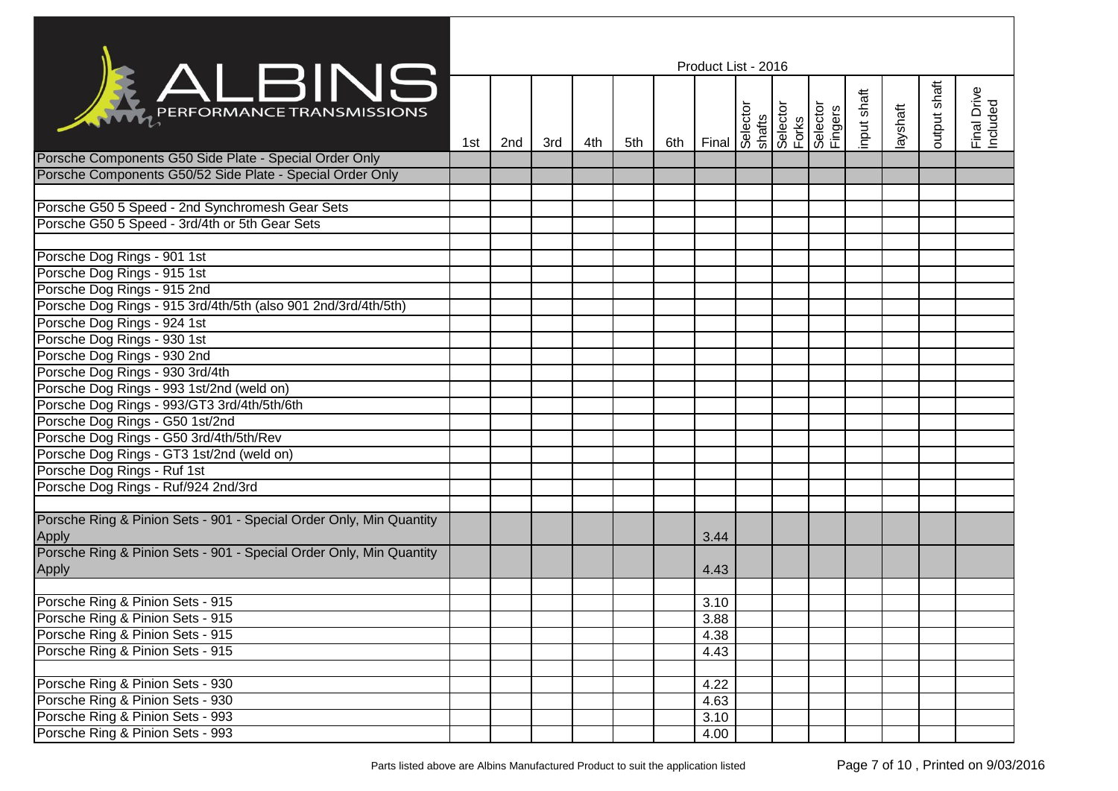|                                                                              | Product List - 2016 |     |     |     |     |     |                                                                                             |  |  |  |  |          |              |                         |
|------------------------------------------------------------------------------|---------------------|-----|-----|-----|-----|-----|---------------------------------------------------------------------------------------------|--|--|--|--|----------|--------------|-------------------------|
| <b>KALBINS</b>                                                               | 1st                 | 2nd | 3rd | 4th | 5th | 6th | Final Selector<br>Selector<br>Selector<br>Forks<br>Fingers<br>Fingers<br>Fingers<br>Fingers |  |  |  |  | layshaft | output shaft | Final Drive<br>Included |
| Porsche Components G50 Side Plate - Special Order Only                       |                     |     |     |     |     |     |                                                                                             |  |  |  |  |          |              |                         |
| Porsche Components G50/52 Side Plate - Special Order Only                    |                     |     |     |     |     |     |                                                                                             |  |  |  |  |          |              |                         |
|                                                                              |                     |     |     |     |     |     |                                                                                             |  |  |  |  |          |              |                         |
| Porsche G50 5 Speed - 2nd Synchromesh Gear Sets                              |                     |     |     |     |     |     |                                                                                             |  |  |  |  |          |              |                         |
| Porsche G50 5 Speed - 3rd/4th or 5th Gear Sets                               |                     |     |     |     |     |     |                                                                                             |  |  |  |  |          |              |                         |
|                                                                              |                     |     |     |     |     |     |                                                                                             |  |  |  |  |          |              |                         |
| Porsche Dog Rings - 901 1st                                                  |                     |     |     |     |     |     |                                                                                             |  |  |  |  |          |              |                         |
| Porsche Dog Rings - 915 1st                                                  |                     |     |     |     |     |     |                                                                                             |  |  |  |  |          |              |                         |
| Porsche Dog Rings - 915 2nd                                                  |                     |     |     |     |     |     |                                                                                             |  |  |  |  |          |              |                         |
| Porsche Dog Rings - 915 3rd/4th/5th (also 901 2nd/3rd/4th/5th)               |                     |     |     |     |     |     |                                                                                             |  |  |  |  |          |              |                         |
| Porsche Dog Rings - 924 1st                                                  |                     |     |     |     |     |     |                                                                                             |  |  |  |  |          |              |                         |
| Porsche Dog Rings - 930 1st                                                  |                     |     |     |     |     |     |                                                                                             |  |  |  |  |          |              |                         |
| Porsche Dog Rings - 930 2nd                                                  |                     |     |     |     |     |     |                                                                                             |  |  |  |  |          |              |                         |
| Porsche Dog Rings - 930 3rd/4th                                              |                     |     |     |     |     |     |                                                                                             |  |  |  |  |          |              |                         |
| Porsche Dog Rings - 993 1st/2nd (weld on)                                    |                     |     |     |     |     |     |                                                                                             |  |  |  |  |          |              |                         |
| Porsche Dog Rings - 993/GT3 3rd/4th/5th/6th                                  |                     |     |     |     |     |     |                                                                                             |  |  |  |  |          |              |                         |
| Porsche Dog Rings - G50 1st/2nd                                              |                     |     |     |     |     |     |                                                                                             |  |  |  |  |          |              |                         |
| Porsche Dog Rings - G50 3rd/4th/5th/Rev                                      |                     |     |     |     |     |     |                                                                                             |  |  |  |  |          |              |                         |
| Porsche Dog Rings - GT3 1st/2nd (weld on)                                    |                     |     |     |     |     |     |                                                                                             |  |  |  |  |          |              |                         |
| Porsche Dog Rings - Ruf 1st                                                  |                     |     |     |     |     |     |                                                                                             |  |  |  |  |          |              |                         |
| Porsche Dog Rings - Ruf/924 2nd/3rd                                          |                     |     |     |     |     |     |                                                                                             |  |  |  |  |          |              |                         |
|                                                                              |                     |     |     |     |     |     |                                                                                             |  |  |  |  |          |              |                         |
| Porsche Ring & Pinion Sets - 901 - Special Order Only, Min Quantity<br>Apply |                     |     |     |     |     |     | 3.44                                                                                        |  |  |  |  |          |              |                         |
| Porsche Ring & Pinion Sets - 901 - Special Order Only, Min Quantity          |                     |     |     |     |     |     |                                                                                             |  |  |  |  |          |              |                         |
| Apply                                                                        |                     |     |     |     |     |     | 4.43                                                                                        |  |  |  |  |          |              |                         |
|                                                                              |                     |     |     |     |     |     |                                                                                             |  |  |  |  |          |              |                         |
| Porsche Ring & Pinion Sets - 915                                             |                     |     |     |     |     |     | 3.10                                                                                        |  |  |  |  |          |              |                         |
| Porsche Ring & Pinion Sets - 915                                             |                     |     |     |     |     |     | 3.88                                                                                        |  |  |  |  |          |              |                         |
| Porsche Ring & Pinion Sets - 915                                             |                     |     |     |     |     |     | 4.38                                                                                        |  |  |  |  |          |              |                         |
| Porsche Ring & Pinion Sets - 915                                             |                     |     |     |     |     |     | 4.43                                                                                        |  |  |  |  |          |              |                         |
|                                                                              |                     |     |     |     |     |     |                                                                                             |  |  |  |  |          |              |                         |
| Porsche Ring & Pinion Sets - 930                                             |                     |     |     |     |     |     | 4.22                                                                                        |  |  |  |  |          |              |                         |
| Porsche Ring & Pinion Sets - 930                                             |                     |     |     |     |     |     | 4.63                                                                                        |  |  |  |  |          |              |                         |
| Porsche Ring & Pinion Sets - 993                                             |                     |     |     |     |     |     | 3.10                                                                                        |  |  |  |  |          |              |                         |
| Porsche Ring & Pinion Sets - 993                                             |                     |     |     |     |     |     | 4.00                                                                                        |  |  |  |  |          |              |                         |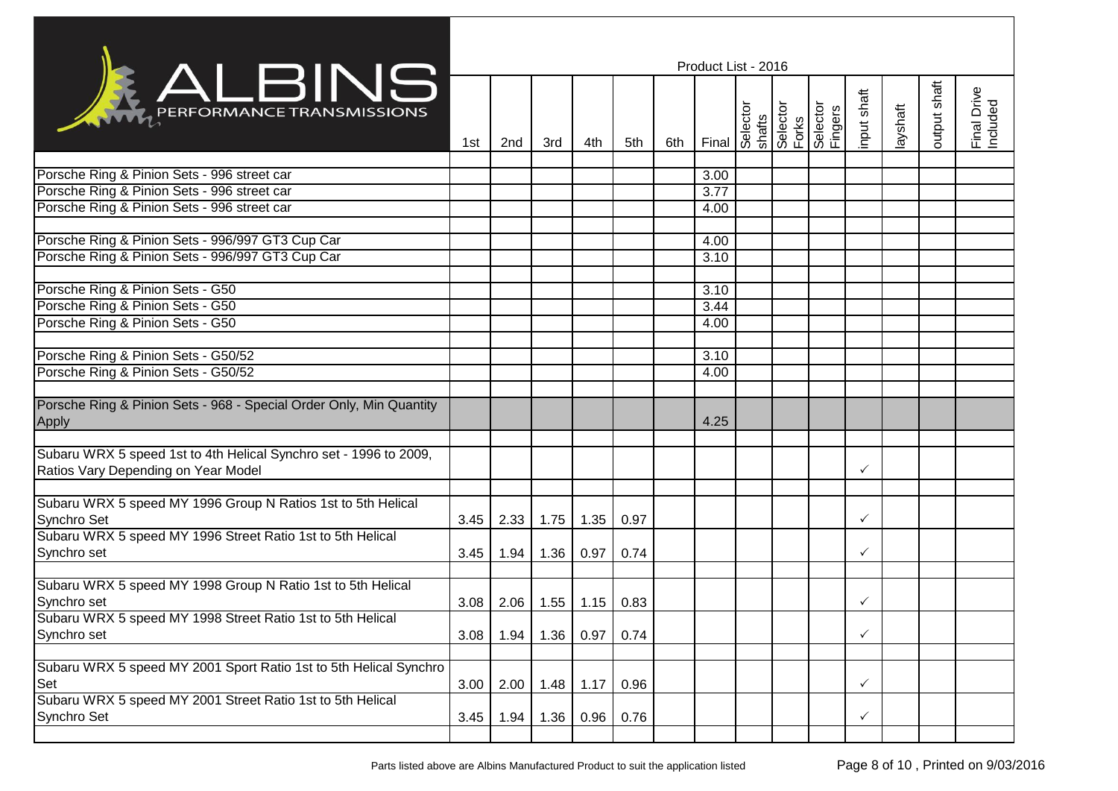|                                                                     | Product List - 2016 |      |      |             |      |     |      |  |  |  |              |          |              |                         |
|---------------------------------------------------------------------|---------------------|------|------|-------------|------|-----|------|--|--|--|--------------|----------|--------------|-------------------------|
| <b>ALBINS</b>                                                       | 1st                 | 2nd  | 3rd  | 4th         | 5th  | 6th |      |  |  |  | input shaft  | layshaft | output shaft | Final Drive<br>Included |
|                                                                     |                     |      |      |             |      |     |      |  |  |  |              |          |              |                         |
| Porsche Ring & Pinion Sets - 996 street car                         |                     |      |      |             |      |     | 3.00 |  |  |  |              |          |              |                         |
| Porsche Ring & Pinion Sets - 996 street car                         |                     |      |      |             |      |     | 3.77 |  |  |  |              |          |              |                         |
| Porsche Ring & Pinion Sets - 996 street car                         |                     |      |      |             |      |     | 4.00 |  |  |  |              |          |              |                         |
| Porsche Ring & Pinion Sets - 996/997 GT3 Cup Car                    |                     |      |      |             |      |     | 4.00 |  |  |  |              |          |              |                         |
| Porsche Ring & Pinion Sets - 996/997 GT3 Cup Car                    |                     |      |      |             |      |     | 3.10 |  |  |  |              |          |              |                         |
|                                                                     |                     |      |      |             |      |     |      |  |  |  |              |          |              |                         |
| Porsche Ring & Pinion Sets - G50                                    |                     |      |      |             |      |     | 3.10 |  |  |  |              |          |              |                         |
| Porsche Ring & Pinion Sets - G50                                    |                     |      |      |             |      |     | 3.44 |  |  |  |              |          |              |                         |
| Porsche Ring & Pinion Sets - G50                                    |                     |      |      |             |      |     | 4.00 |  |  |  |              |          |              |                         |
|                                                                     |                     |      |      |             |      |     |      |  |  |  |              |          |              |                         |
| Porsche Ring & Pinion Sets - G50/52                                 |                     |      |      |             |      |     | 3.10 |  |  |  |              |          |              |                         |
| Porsche Ring & Pinion Sets - G50/52                                 |                     |      |      |             |      |     | 4.00 |  |  |  |              |          |              |                         |
|                                                                     |                     |      |      |             |      |     |      |  |  |  |              |          |              |                         |
| Porsche Ring & Pinion Sets - 968 - Special Order Only, Min Quantity |                     |      |      |             |      |     |      |  |  |  |              |          |              |                         |
| Apply                                                               |                     |      |      |             |      |     | 4.25 |  |  |  |              |          |              |                         |
|                                                                     |                     |      |      |             |      |     |      |  |  |  |              |          |              |                         |
| Subaru WRX 5 speed 1st to 4th Helical Synchro set - 1996 to 2009,   |                     |      |      |             |      |     |      |  |  |  |              |          |              |                         |
| Ratios Vary Depending on Year Model                                 |                     |      |      |             |      |     |      |  |  |  | ✓            |          |              |                         |
|                                                                     |                     |      |      |             |      |     |      |  |  |  |              |          |              |                         |
| Subaru WRX 5 speed MY 1996 Group N Ratios 1st to 5th Helical        |                     |      |      |             |      |     |      |  |  |  |              |          |              |                         |
| Synchro Set                                                         | 3.45                | 2.33 | 1.75 | 1.35        | 0.97 |     |      |  |  |  | $\checkmark$ |          |              |                         |
| Subaru WRX 5 speed MY 1996 Street Ratio 1st to 5th Helical          |                     |      |      |             |      |     |      |  |  |  |              |          |              |                         |
| Synchro set                                                         | 3.45                | 1.94 | 1.36 | 0.97        | 0.74 |     |      |  |  |  | $\checkmark$ |          |              |                         |
|                                                                     |                     |      |      |             |      |     |      |  |  |  |              |          |              |                         |
| Subaru WRX 5 speed MY 1998 Group N Ratio 1st to 5th Helical         |                     |      |      |             |      |     |      |  |  |  |              |          |              |                         |
| Synchro set                                                         | 3.08                | 2.06 | 1.55 | 1.15        | 0.83 |     |      |  |  |  | $\checkmark$ |          |              |                         |
| Subaru WRX 5 speed MY 1998 Street Ratio 1st to 5th Helical          |                     |      |      |             |      |     |      |  |  |  |              |          |              |                         |
| Synchro set                                                         | 3.08                | 1.94 | 1.36 | 0.97        | 0.74 |     |      |  |  |  | ✓            |          |              |                         |
| Subaru WRX 5 speed MY 2001 Sport Ratio 1st to 5th Helical Synchro   |                     |      |      |             |      |     |      |  |  |  |              |          |              |                         |
| Set                                                                 | 3.00                | 2.00 |      | $1.48$ 1.17 | 0.96 |     |      |  |  |  | $\checkmark$ |          |              |                         |
| Subaru WRX 5 speed MY 2001 Street Ratio 1st to 5th Helical          |                     |      |      |             |      |     |      |  |  |  |              |          |              |                         |
| Synchro Set                                                         | 3.45                | 1.94 | 1.36 | 0.96        | 0.76 |     |      |  |  |  | $\checkmark$ |          |              |                         |
|                                                                     |                     |      |      |             |      |     |      |  |  |  |              |          |              |                         |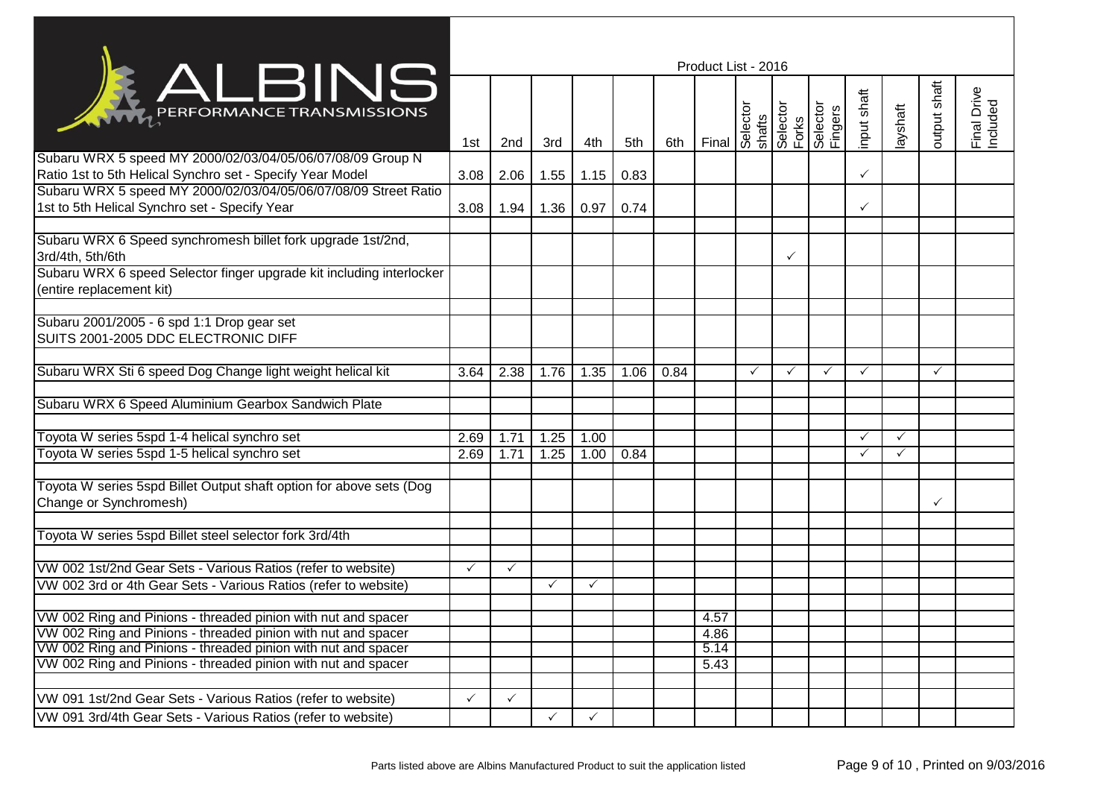|                                                                                                                         | Product List - 2016 |              |                   |              |      |      |       |                                      |   |                     |              |              |              |                         |
|-------------------------------------------------------------------------------------------------------------------------|---------------------|--------------|-------------------|--------------|------|------|-------|--------------------------------------|---|---------------------|--------------|--------------|--------------|-------------------------|
| <b>KALBINS</b>                                                                                                          | 1st                 | 2nd          | 3rd               | 4th          | 5th  | 6th  | Final | Selector<br>shafts<br>Forks<br>Forks |   | Selector<br>Fingers | nput shaft   | layshaft     | output shaft | Final Drive<br>Included |
| Subaru WRX 5 speed MY 2000/02/03/04/05/06/07/08/09 Group N<br>Ratio 1st to 5th Helical Synchro set - Specify Year Model | 3.08                | 2.06         | 1.55              | 1.15         | 0.83 |      |       |                                      |   |                     | ✓            |              |              |                         |
| Subaru WRX 5 speed MY 2000/02/03/04/05/06/07/08/09 Street Ratio                                                         |                     |              |                   |              |      |      |       |                                      |   |                     |              |              |              |                         |
| 1st to 5th Helical Synchro set - Specify Year                                                                           | 3.08                | 1.94         | 1.36              | 0.97         | 0.74 |      |       |                                      |   |                     | ✓            |              |              |                         |
| Subaru WRX 6 Speed synchromesh billet fork upgrade 1st/2nd,<br>3rd/4th, 5th/6th                                         |                     |              |                   |              |      |      |       |                                      | ✓ |                     |              |              |              |                         |
| Subaru WRX 6 speed Selector finger upgrade kit including interlocker<br>(entire replacement kit)                        |                     |              |                   |              |      |      |       |                                      |   |                     |              |              |              |                         |
| Subaru 2001/2005 - 6 spd 1:1 Drop gear set<br>SUITS 2001-2005 DDC ELECTRONIC DIFF                                       |                     |              |                   |              |      |      |       |                                      |   |                     |              |              |              |                         |
| Subaru WRX Sti 6 speed Dog Change light weight helical kit                                                              | 3.64                | 2.38         | 1.76              | 1.35         | 1.06 | 0.84 |       |                                      | ✓ | $\checkmark$        | $\checkmark$ |              | ✓            |                         |
| Subaru WRX 6 Speed Aluminium Gearbox Sandwich Plate                                                                     |                     |              |                   |              |      |      |       |                                      |   |                     |              |              |              |                         |
| Toyota W series 5spd 1-4 helical synchro set                                                                            | 2.69                | 1.71         | 1.25              | 1.00         |      |      |       |                                      |   |                     | ✓            | $\checkmark$ |              |                         |
| Toyota W series 5spd 1-5 helical synchro set                                                                            | 2.69                | 1.71         | $1.\overline{25}$ | 1.00         | 0.84 |      |       |                                      |   |                     | ✓            | $\checkmark$ |              |                         |
| Toyota W series 5spd Billet Output shaft option for above sets (Dog<br>Change or Synchromesh)                           |                     |              |                   |              |      |      |       |                                      |   |                     |              |              | ✓            |                         |
| Toyota W series 5spd Billet steel selector fork 3rd/4th                                                                 |                     |              |                   |              |      |      |       |                                      |   |                     |              |              |              |                         |
| VW 002 1st/2nd Gear Sets - Various Ratios (refer to website)                                                            | $\checkmark$        | $\checkmark$ |                   |              |      |      |       |                                      |   |                     |              |              |              |                         |
| VW 002 3rd or 4th Gear Sets - Various Ratios (refer to website)                                                         |                     |              | $\checkmark$      | $\checkmark$ |      |      |       |                                      |   |                     |              |              |              |                         |
|                                                                                                                         |                     |              |                   |              |      |      |       |                                      |   |                     |              |              |              |                         |
| VW 002 Ring and Pinions - threaded pinion with nut and spacer                                                           |                     |              |                   |              |      |      | 4.57  |                                      |   |                     |              |              |              |                         |
| VW 002 Ring and Pinions - threaded pinion with nut and spacer                                                           |                     |              |                   |              |      |      | 4.86  |                                      |   |                     |              |              |              |                         |
| VW 002 Ring and Pinions - threaded pinion with nut and spacer                                                           |                     |              |                   |              |      |      | 5.14  |                                      |   |                     |              |              |              |                         |
| VW 002 Ring and Pinions - threaded pinion with nut and spacer                                                           |                     |              |                   |              |      |      | 5.43  |                                      |   |                     |              |              |              |                         |
|                                                                                                                         |                     |              |                   |              |      |      |       |                                      |   |                     |              |              |              |                         |
| VW 091 1st/2nd Gear Sets - Various Ratios (refer to website)                                                            | ✓                   | $\checkmark$ |                   |              |      |      |       |                                      |   |                     |              |              |              |                         |
| VW 091 3rd/4th Gear Sets - Various Ratios (refer to website)                                                            |                     |              | $\checkmark$      | $\checkmark$ |      |      |       |                                      |   |                     |              |              |              |                         |